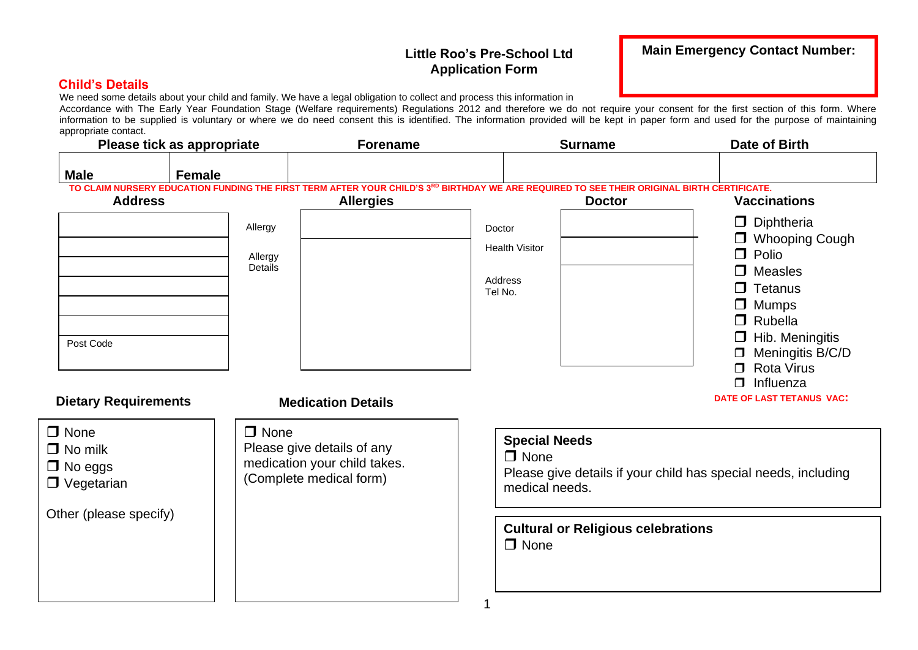#### **Little Roo's Pre-School Ltd Application Form**

#### **Child's Details**

We need some details about your child and family. We have a legal obligation to collect and process this information in

Accordance with The Early Year Foundation Stage (Welfare requirements) Regulations 2012 and therefore we do not require your consent for the first section of this form. Where information to be supplied is voluntary or where we do need consent this is identified. The information provided will be kept in paper form and used for the purpose of maintaining appropriate contact.

|                                                                                                     | Please tick as appropriate    | <b>Forename</b>                                                                                                    | <b>Surname</b>                                                                                                                                              | <b>Date of Birth</b>                                                                                                                                                             |
|-----------------------------------------------------------------------------------------------------|-------------------------------|--------------------------------------------------------------------------------------------------------------------|-------------------------------------------------------------------------------------------------------------------------------------------------------------|----------------------------------------------------------------------------------------------------------------------------------------------------------------------------------|
| <b>Male</b>                                                                                         | <b>Female</b>                 |                                                                                                                    |                                                                                                                                                             |                                                                                                                                                                                  |
| <b>Address</b>                                                                                      |                               | <b>Allergies</b>                                                                                                   | TO CLAIM NURSERY EDUCATION FUNDING THE FIRST TERM AFTER YOUR CHILD'S 3RD BIRTHDAY WE ARE REQUIRED TO SEE THEIR ORIGINAL BIRTH CERTIFICATE.<br><b>Doctor</b> | <b>Vaccinations</b>                                                                                                                                                              |
| Post Code                                                                                           | Allergy<br>Allergy<br>Details |                                                                                                                    | Doctor<br><b>Health Visitor</b><br>Address<br>Tel No.                                                                                                       | $\Box$ Diphtheria<br>□ Whooping Cough<br>$\Box$ Polio<br>$\Box$ Measles<br>$\Box$ Tetanus<br>$\Box$ Mumps<br>$\Box$ Rubella<br>$\Box$ Hib. Meningitis<br>$\Box$ Meningitis B/C/D |
| <b>Dietary Requirements</b><br>$\Box$ None<br>$\Box$ No milk<br>$\Box$ No eggs<br>$\Box$ Vegetarian | $\Box$ None                   | <b>Medication Details</b><br>Please give details of any<br>medication your child takes.<br>(Complete medical form) | <b>Special Needs</b><br>$\Box$ None<br>medical needs.                                                                                                       | $\Box$ Rota Virus<br>$\Box$ Influenza<br>DATE OF LAST TETANUS VAC:<br>Please give details if your child has special needs, including                                             |
| Other (please specify)                                                                              |                               |                                                                                                                    | <b>Cultural or Religious celebrations</b><br>$\Box$ None                                                                                                    |                                                                                                                                                                                  |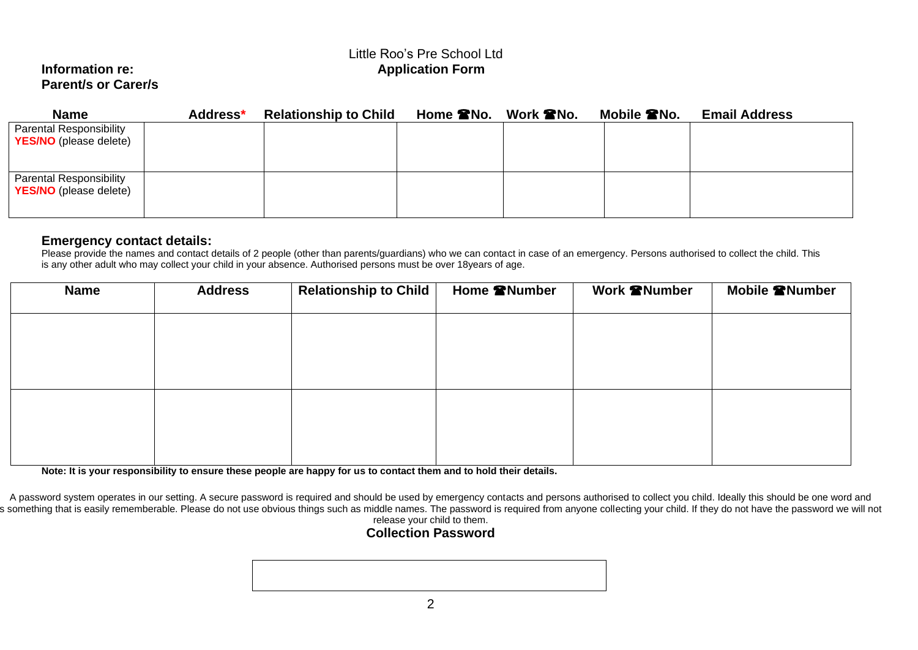#### Little Roo's Pre School Ltd **Information re:** Application Form

# **Parent/s or Carer/s**

| <b>Name</b>                                                     | Address* | <b>Relationship to Child</b> | Home <b>RNo.</b> Work <b>RNo.</b> | Mobile <b>2</b> No. | <b>Email Address</b> |
|-----------------------------------------------------------------|----------|------------------------------|-----------------------------------|---------------------|----------------------|
| <b>Parental Responsibility</b><br><b>YES/NO</b> (please delete) |          |                              |                                   |                     |                      |
| <b>Parental Responsibility</b><br><b>YES/NO</b> (please delete) |          |                              |                                   |                     |                      |

#### **Emergency contact details:**

Please provide the names and contact details of 2 people (other than parents/guardians) who we can contact in case of an emergency. Persons authorised to collect the child. This is any other adult who may collect your child in your absence. Authorised persons must be over 18years of age.

| <b>Name</b> | <b>Address</b> | Relationship to Child | Home <b>@Number</b> | Work <b>@Number</b> | Mobile <b><sup>a</sup>Number</b> |
|-------------|----------------|-----------------------|---------------------|---------------------|----------------------------------|
|             |                |                       |                     |                     |                                  |
|             |                |                       |                     |                     |                                  |
|             |                |                       |                     |                     |                                  |
|             |                |                       |                     |                     |                                  |
|             |                |                       |                     |                     |                                  |
|             |                |                       |                     |                     |                                  |
|             |                |                       |                     |                     |                                  |

**Note: It is your responsibility to ensure these people are happy for us to contact them and to hold their details.**

A password system operates in our setting. A secure password is required and should be used by emergency contacts and persons authorised to collect you child. Ideally this should be one word and s something that is easily rememberable. Please do not use obvious things such as middle names. The password is required from anyone collecting your child. If they do not have the password we will not release your child to them.

### **Collection Password**

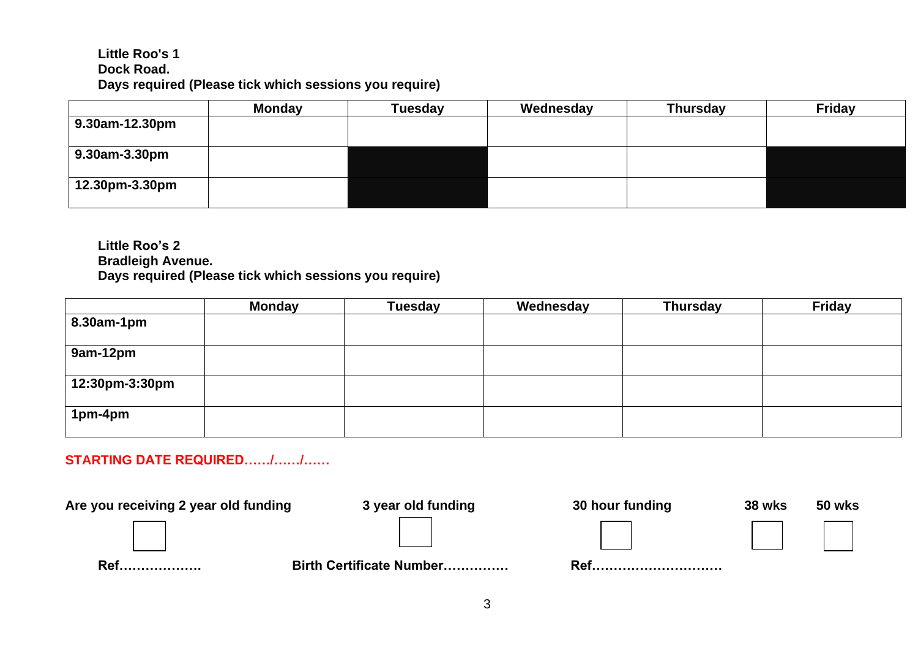#### **Little Roo's 1 Dock Road. Days required (Please tick which sessions you require)**

|                | Monday | <b>Tuesday</b> | Wednesday | <b>Thursday</b> | <b>Friday</b> |
|----------------|--------|----------------|-----------|-----------------|---------------|
| 9.30am-12.30pm |        |                |           |                 |               |
| 9.30am-3.30pm  |        |                |           |                 |               |
| 12.30pm-3.30pm |        |                |           |                 |               |

**Little Roo's 2 Bradleigh Avenue. Days required (Please tick which sessions you require)**

|                | <b>Monday</b> | <b>Tuesday</b> | Wednesday | <b>Thursday</b> | <b>Friday</b> |
|----------------|---------------|----------------|-----------|-----------------|---------------|
| 8.30am-1pm     |               |                |           |                 |               |
| 9am-12pm       |               |                |           |                 |               |
| 12:30pm-3:30pm |               |                |           |                 |               |
| 1pm-4pm        |               |                |           |                 |               |

# **STARTING DATE REQUIRED……/……/……**

Are you receiving 2 year old funding and 3 year old funding and 30 hour funding and 38 wks 50 wks **Ref………………. Birth Certificate Number…………… Ref…………………………**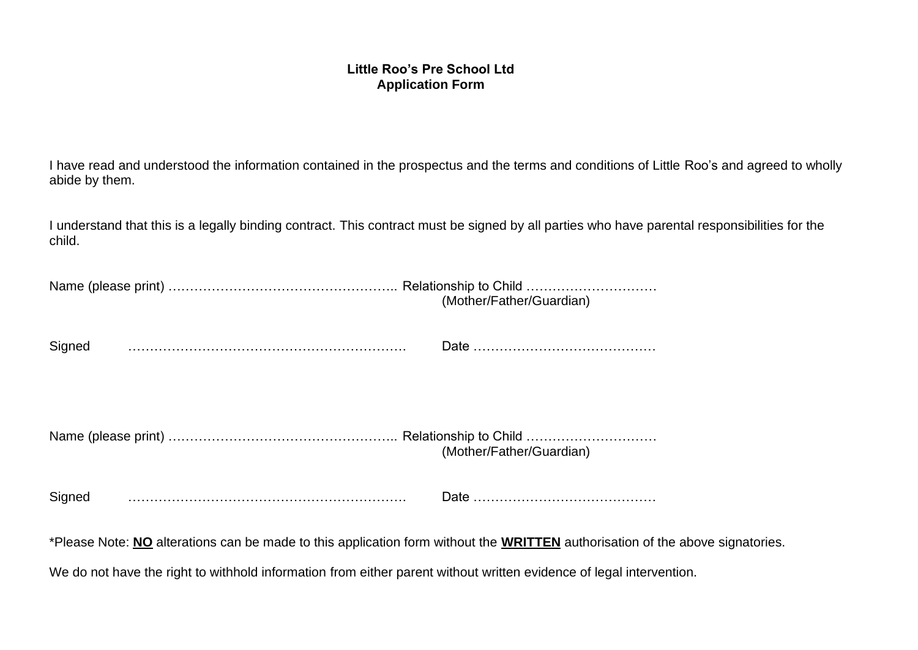#### **Little Roo's Pre School Ltd Application Form**

I have read and understood the information contained in the prospectus and the terms and conditions of Little Roo's and agreed to wholly abide by them.

I understand that this is a legally binding contract. This contract must be signed by all parties who have parental responsibilities for the child.

|                                                                                                                                                                                                                                | (Mother/Father/Guardian)                                                                                                      |
|--------------------------------------------------------------------------------------------------------------------------------------------------------------------------------------------------------------------------------|-------------------------------------------------------------------------------------------------------------------------------|
| Signed                                                                                                                                                                                                                         |                                                                                                                               |
|                                                                                                                                                                                                                                | (Mother/Father/Guardian)                                                                                                      |
| Signed manufactured and state of the state of the state of the state of the state of the state of the state of the state of the state of the state of the state of the state of the state of the state of the state of the sta |                                                                                                                               |
|                                                                                                                                                                                                                                | *Please Note: NO alterations can be made to this application form without the WRITTEN authorisation of the above signatories. |
| We do not have the right to withhold information from either parent without written evidence of legal intervention.                                                                                                            |                                                                                                                               |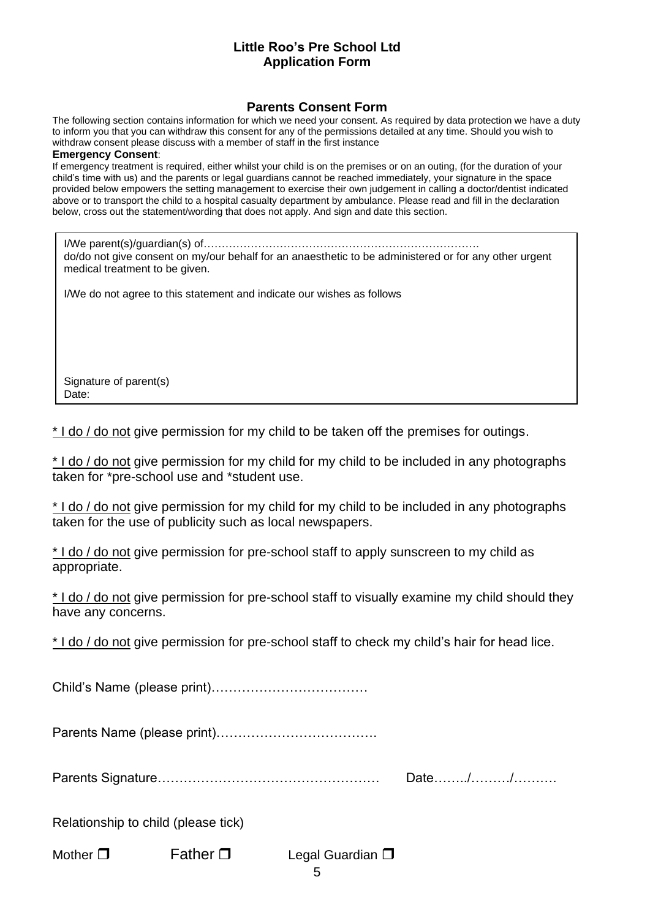#### **Little Roo's Pre School Ltd Application Form**

#### **Parents Consent Form**

The following section contains information for which we need your consent. As required by data protection we have a duty to inform you that you can withdraw this consent for any of the permissions detailed at any time. Should you wish to withdraw consent please discuss with a member of staff in the first instance

#### **Emergency Consent**:

If emergency treatment is required, either whilst your child is on the premises or on an outing, (for the duration of your child's time with us) and the parents or legal guardians cannot be reached immediately, your signature in the space provided below empowers the setting management to exercise their own judgement in calling a doctor/dentist indicated above or to transport the child to a hospital casualty department by ambulance. Please read and fill in the declaration below, cross out the statement/wording that does not apply. And sign and date this section.

I/We parent(s)/guardian(s) of…………………………………………………………………. do/do not give consent on my/our behalf for an anaesthetic to be administered or for any other urgent medical treatment to be given.

I/We do not agree to this statement and indicate our wishes as follows

Signature of parent(s) Date:

\* I do / do not give permission for my child to be taken off the premises for outings.

\* I do / do not give permission for my child for my child to be included in any photographs taken for \*pre-school use and \*student use.

\* I do / do not give permission for my child for my child to be included in any photographs taken for the use of publicity such as local newspapers.

\* I do / do not give permission for pre-school staff to apply sunscreen to my child as appropriate.

\* I do / do not give permission for pre-school staff to visually examine my child should they have any concerns.

\* I do / do not give permission for pre-school staff to check my child's hair for head lice.

Child's Name (please print)………………………………

Parents Name (please print)……………………………….

Parents Signature…………………………………………… Date……../………/……….

Relationship to child (please tick)

Mother  $\square$  Father  $\square$  Legal Guardian  $\square$